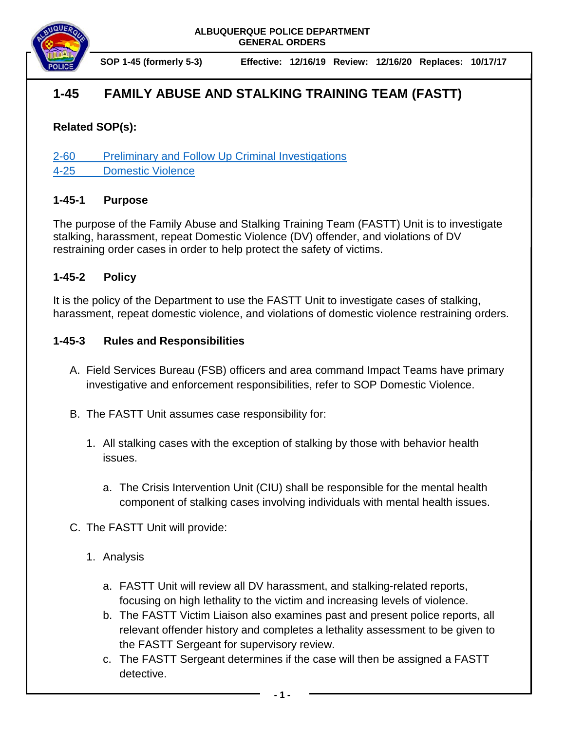

**SOP 1-45 (formerly 5-3) Effective: 12/16/19 Review: 12/16/20 Replaces: 10/17/17**

# **1-45 FAMILY ABUSE AND STALKING TRAINING TEAM (FASTT)**

## **Related SOP(s):**

[2-60 Preliminary and Follow Up Criminal Investigations](https://powerdms.com/link/IDS/document/?id=107) [4-25 Domestic Violence](https://powerdms.com/link/IDS/document/?id=533)

#### **1-45-1 Purpose**

The purpose of the Family Abuse and Stalking Training Team (FASTT) Unit is to investigate stalking, harassment, repeat Domestic Violence (DV) offender, and violations of DV restraining order cases in order to help protect the safety of victims.

#### **1-45-2 Policy**

It is the policy of the Department to use the FASTT Unit to investigate cases of stalking, harassment, repeat domestic violence, and violations of domestic violence restraining orders.

### **1-45-3 Rules and Responsibilities**

- A. Field Services Bureau (FSB) officers and area command Impact Teams have primary investigative and enforcement responsibilities, refer to SOP Domestic Violence.
- B. The FASTT Unit assumes case responsibility for:
	- 1. All stalking cases with the exception of stalking by those with behavior health issues.
		- a. The Crisis Intervention Unit (CIU) shall be responsible for the mental health component of stalking cases involving individuals with mental health issues.
- C. The FASTT Unit will provide:
	- 1. Analysis
		- a. FASTT Unit will review all DV harassment, and stalking-related reports, focusing on high lethality to the victim and increasing levels of violence.
		- b. The FASTT Victim Liaison also examines past and present police reports, all relevant offender history and completes a lethality assessment to be given to the FASTT Sergeant for supervisory review.
		- c. The FASTT Sergeant determines if the case will then be assigned a FASTT detective.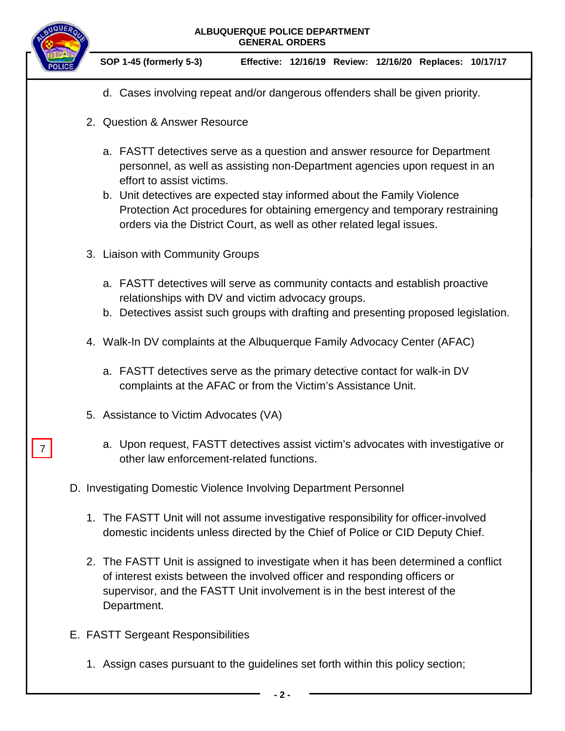

7



- d. Cases involving repeat and/or dangerous offenders shall be given priority.
- 2. Question & Answer Resource
	- a. FASTT detectives serve as a question and answer resource for Department personnel, as well as assisting non-Department agencies upon request in an effort to assist victims.
	- b. Unit detectives are expected stay informed about the Family Violence Protection Act procedures for obtaining emergency and temporary restraining orders via the District Court, as well as other related legal issues.
- 3. Liaison with Community Groups
	- a. FASTT detectives will serve as community contacts and establish proactive relationships with DV and victim advocacy groups.
	- b. Detectives assist such groups with drafting and presenting proposed legislation.
- 4. Walk-In DV complaints at the Albuquerque Family Advocacy Center (AFAC)
	- a. FASTT detectives serve as the primary detective contact for walk-in DV complaints at the AFAC or from the Victim's Assistance Unit.
- 5. Assistance to Victim Advocates (VA)
	- a. Upon request, FASTT detectives assist victim's advocates with investigative or other law enforcement-related functions.
- D. Investigating Domestic Violence Involving Department Personnel
	- 1. The FASTT Unit will not assume investigative responsibility for officer-involved domestic incidents unless directed by the Chief of Police or CID Deputy Chief.
	- 2. The FASTT Unit is assigned to investigate when it has been determined a conflict of interest exists between the involved officer and responding officers or supervisor, and the FASTT Unit involvement is in the best interest of the Department.
- E. FASTT Sergeant Responsibilities
	- 1. Assign cases pursuant to the guidelines set forth within this policy section;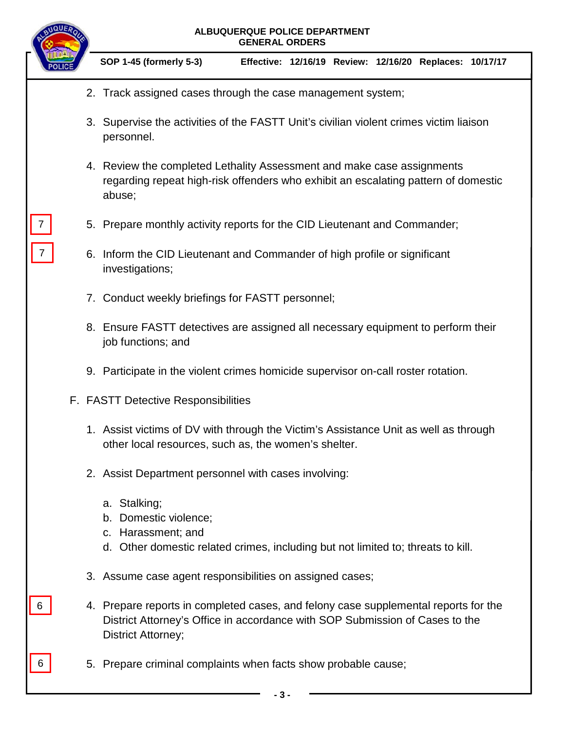|   | ALBUQUERQUE POLICE DEPARTMENT<br><b>GENERAL ORDERS</b>                                                                                                                                    |  |  |  |
|---|-------------------------------------------------------------------------------------------------------------------------------------------------------------------------------------------|--|--|--|
|   | SOP 1-45 (formerly 5-3)<br>Effective: 12/16/19 Review: 12/16/20 Replaces: 10/17/17                                                                                                        |  |  |  |
|   | 2. Track assigned cases through the case management system;                                                                                                                               |  |  |  |
|   | 3. Supervise the activities of the FASTT Unit's civilian violent crimes victim liaison<br>personnel.                                                                                      |  |  |  |
|   | 4. Review the completed Lethality Assessment and make case assignments<br>regarding repeat high-risk offenders who exhibit an escalating pattern of domestic<br>abuse;                    |  |  |  |
|   | 5. Prepare monthly activity reports for the CID Lieutenant and Commander;                                                                                                                 |  |  |  |
|   | 6. Inform the CID Lieutenant and Commander of high profile or significant<br>investigations;                                                                                              |  |  |  |
|   | 7. Conduct weekly briefings for FASTT personnel;                                                                                                                                          |  |  |  |
|   | 8. Ensure FASTT detectives are assigned all necessary equipment to perform their<br>job functions; and                                                                                    |  |  |  |
|   | 9. Participate in the violent crimes homicide supervisor on-call roster rotation.                                                                                                         |  |  |  |
|   | F. FASTT Detective Responsibilities                                                                                                                                                       |  |  |  |
|   | 1. Assist victims of DV with through the Victim's Assistance Unit as well as through<br>other local resources, such as, the women's shelter.                                              |  |  |  |
|   | 2. Assist Department personnel with cases involving:                                                                                                                                      |  |  |  |
|   | a. Stalking;<br>b. Domestic violence;<br>c. Harassment; and<br>d. Other domestic related crimes, including but not limited to; threats to kill.                                           |  |  |  |
|   | 3. Assume case agent responsibilities on assigned cases;                                                                                                                                  |  |  |  |
|   | 4. Prepare reports in completed cases, and felony case supplemental reports for the<br>District Attorney's Office in accordance with SOP Submission of Cases to the<br>District Attorney; |  |  |  |
| 6 | 5. Prepare criminal complaints when facts show probable cause;                                                                                                                            |  |  |  |